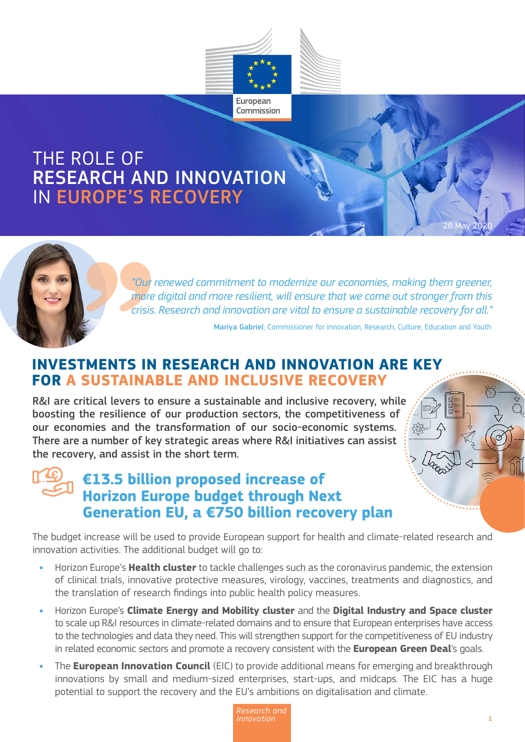

## RESEARCH AND INNOVATION **RESPONSE** THE ROLE OF IN EUROPE'S RECOVERY

*"Our renewed commitment to modernize our economies, making them greener, more digital and more resilient, will ensure that we come out stronger from this crisis. Research and innovation are vital to ensure a sustainable recovery for all."*

Mariya Gabriel, Commissioner for Innovation, Research, Culture, Education and Youth

### **INVESTMENTS IN RESEARCH AND INNOVATION ARE KEY FOR A SUSTAINABLE AND INCLUSIVE RECOVERY**

R&I are critical levers to ensure a sustainable and inclusive recovery, while boosting the resilience of our production sectors, the competitiveness of our economies and the transformation of our socio-economic systems. There are a number of key strategic areas where R&I initiatives can assist the recovery, and assist in the short term.

## **€13.5 billion proposed increase of Horizon Europe budget through Next Generation EU, a €750 billion recovery plan**

The budget increase will be used to provide European support for health and climate-related research and innovation activities. The additional budget will go to:

- **•** Horizon Europe's **Health cluster** to tackle challenges such as the coronavirus pandemic, the extension of clinical trials, innovative protective measures, virology, vaccines, treatments and diagnostics, and the translation of research findings into public health policy measures.
- **•** Horizon Europe's **Climate Energy and Mobility cluster** and the **Digital Industry and Space cluster**  to scale up R&I resources in climate-related domains and to ensure that European enterprises have access to the technologies and data they need. This will strengthen support for the competitiveness of EU industry in related economic sectors and promote a recovery consistent with the **European Green Deal**'s goals.
- **•** The **European Innovation Council** (EIC) to provide additional means for emerging and breakthrough innovations by small and medium-sized enterprises, start-ups, and midcaps. The EIC has a huge potential to support the recovery and the EU's ambitions on digitalisation and climate.



28 May 2020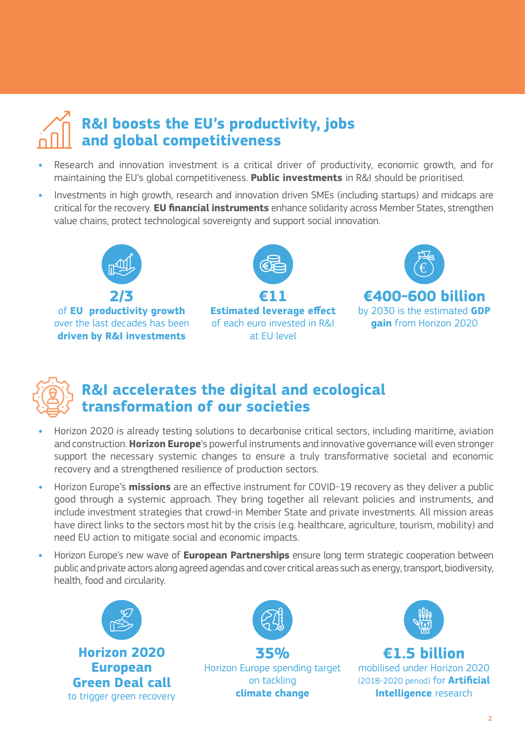# **R&I boosts the EU's productivity, jobs and global competitiveness**

- **•** Research and innovation investment is a critical driver of productivity, economic growth, and for maintaining the EU's global competitiveness. **Public investments** in R&I should be prioritised.
- **•** Investments in high growth, research and innovation driven SMEs (including startups) and midcaps are critical for the recovery. **EU financial instruments** enhance solidarity across Member States, strengthen value chains, protect technological sovereignty and support social innovation.



of **EU productivity growth** over the last decades has been **driven by R&I investments**



**Estimated leverage effect** of each euro invested in R&I at EU level





## **R&I accelerates the digital and ecological transformation of our societies**

- **•** Horizon 2020 is already testing solutions to decarbonise critical sectors, including maritime, aviation and construction. **Horizon Europe**'s powerful instruments and innovative governance will even stronger support the necessary systemic changes to ensure a truly transformative societal and economic recovery and a strengthened resilience of production sectors.
- **•** Horizon Europe's **missions** are an effective instrument for COVID-19 recovery as they deliver a public good through a systemic approach. They bring together all relevant policies and instruments, and include investment strategies that crowd-in Member State and private investments. All mission areas have direct links to the sectors most hit by the crisis (e.g. healthcare, agriculture, tourism, mobility) and need EU action to mitigate social and economic impacts.
- **•** Horizon Europe's new wave of **European Partnerships** ensure long term strategic cooperation between public and private actors along agreed agendas and cover critical areas such as energy, transport, biodiversity, health, food and circularity.





**35%**  Horizon Europe spending target on tackling **climate change**



**€1.5 billion** mobilised under Horizon 2020 (2018-2020 period) for **Artificial Intelligence** research